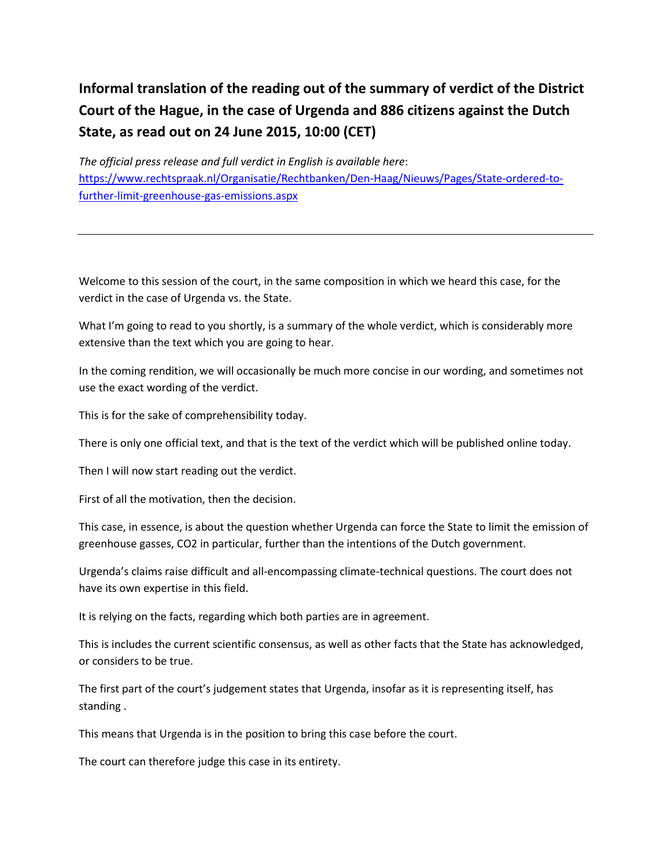**Informal translation of the reading out of the summary of verdict of the District Court of the Hague, in the case of Urgenda and 886 citizens against the Dutch State, as read out on 24 June 2015, 10:00 (CET)**

*The official press release and full verdict in English is available here*: [https://www.rechtspraak.nl/Organisatie/Rechtbanken/Den-Haag/Nieuws/Pages/State-ordered-to](https://www.rechtspraak.nl/Organisatie/Rechtbanken/Den-Haag/Nieuws/Pages/State-ordered-to-further-limit-greenhouse-gas-emissions.aspx)[further-limit-greenhouse-gas-emissions.aspx](https://www.rechtspraak.nl/Organisatie/Rechtbanken/Den-Haag/Nieuws/Pages/State-ordered-to-further-limit-greenhouse-gas-emissions.aspx)

Welcome to this session of the court, in the same composition in which we heard this case, for the verdict in the case of Urgenda vs. the State.

What I'm going to read to you shortly, is a summary of the whole verdict, which is considerably more extensive than the text which you are going to hear.

In the coming rendition, we will occasionally be much more concise in our wording, and sometimes not use the exact wording of the verdict.

This is for the sake of comprehensibility today.

There is only one official text, and that is the text of the verdict which will be published online today.

Then I will now start reading out the verdict.

First of all the motivation, then the decision.

This case, in essence, is about the question whether Urgenda can force the State to limit the emission of greenhouse gasses, CO2 in particular, further than the intentions of the Dutch government.

Urgenda's claims raise difficult and all-encompassing climate-technical questions. The court does not have its own expertise in this field.

It is relying on the facts, regarding which both parties are in agreement.

This is includes the current scientific consensus, as well as other facts that the State has acknowledged, or considers to be true.

The first part of the court's judgement states that Urgenda, insofar as it is representing itself, has standing .

This means that Urgenda is in the position to bring this case before the court.

The court can therefore judge this case in its entirety.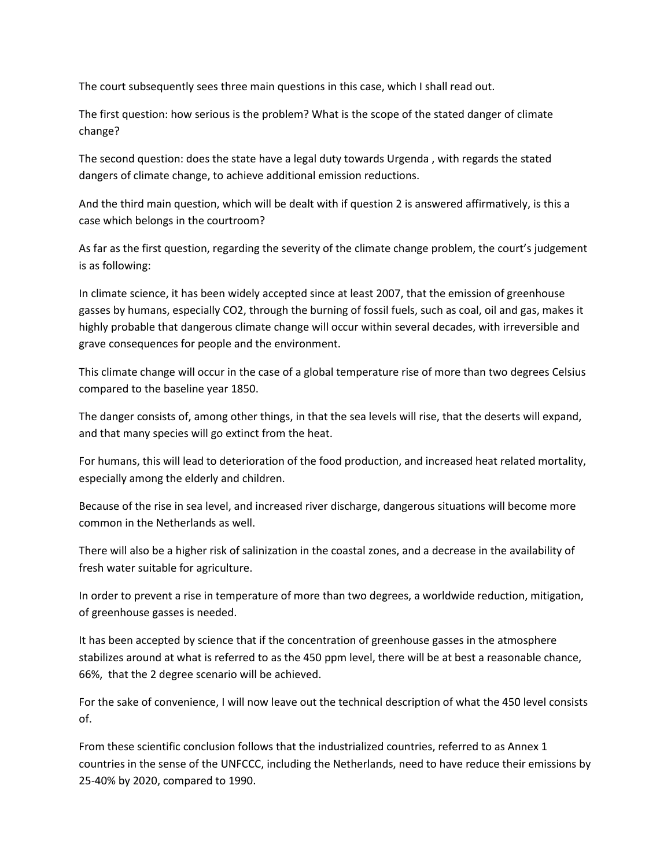The court subsequently sees three main questions in this case, which I shall read out.

The first question: how serious is the problem? What is the scope of the stated danger of climate change?

The second question: does the state have a legal duty towards Urgenda , with regards the stated dangers of climate change, to achieve additional emission reductions.

And the third main question, which will be dealt with if question 2 is answered affirmatively, is this a case which belongs in the courtroom?

As far as the first question, regarding the severity of the climate change problem, the court's judgement is as following:

In climate science, it has been widely accepted since at least 2007, that the emission of greenhouse gasses by humans, especially CO2, through the burning of fossil fuels, such as coal, oil and gas, makes it highly probable that dangerous climate change will occur within several decades, with irreversible and grave consequences for people and the environment.

This climate change will occur in the case of a global temperature rise of more than two degrees Celsius compared to the baseline year 1850.

The danger consists of, among other things, in that the sea levels will rise, that the deserts will expand, and that many species will go extinct from the heat.

For humans, this will lead to deterioration of the food production, and increased heat related mortality, especially among the elderly and children.

Because of the rise in sea level, and increased river discharge, dangerous situations will become more common in the Netherlands as well.

There will also be a higher risk of salinization in the coastal zones, and a decrease in the availability of fresh water suitable for agriculture.

In order to prevent a rise in temperature of more than two degrees, a worldwide reduction, mitigation, of greenhouse gasses is needed.

It has been accepted by science that if the concentration of greenhouse gasses in the atmosphere stabilizes around at what is referred to as the 450 ppm level, there will be at best a reasonable chance, 66%, that the 2 degree scenario will be achieved.

For the sake of convenience, I will now leave out the technical description of what the 450 level consists of.

From these scientific conclusion follows that the industrialized countries, referred to as Annex 1 countries in the sense of the UNFCCC, including the Netherlands, need to have reduce their emissions by 25-40% by 2020, compared to 1990.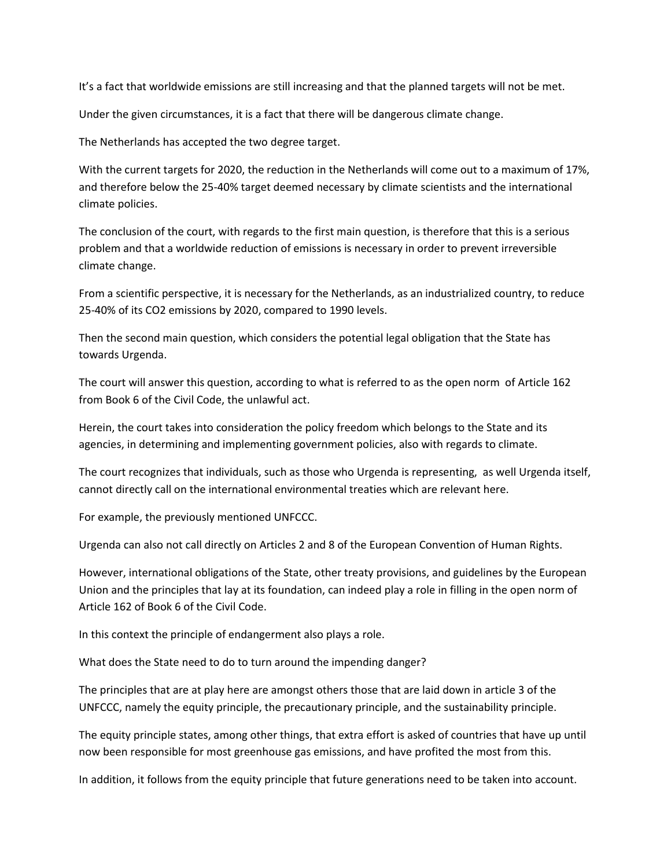It's a fact that worldwide emissions are still increasing and that the planned targets will not be met.

Under the given circumstances, it is a fact that there will be dangerous climate change.

The Netherlands has accepted the two degree target.

With the current targets for 2020, the reduction in the Netherlands will come out to a maximum of 17%, and therefore below the 25-40% target deemed necessary by climate scientists and the international climate policies.

The conclusion of the court, with regards to the first main question, is therefore that this is a serious problem and that a worldwide reduction of emissions is necessary in order to prevent irreversible climate change.

From a scientific perspective, it is necessary for the Netherlands, as an industrialized country, to reduce 25-40% of its CO2 emissions by 2020, compared to 1990 levels.

Then the second main question, which considers the potential legal obligation that the State has towards Urgenda.

The court will answer this question, according to what is referred to as the open norm of Article 162 from Book 6 of the Civil Code, the unlawful act.

Herein, the court takes into consideration the policy freedom which belongs to the State and its agencies, in determining and implementing government policies, also with regards to climate.

The court recognizes that individuals, such as those who Urgenda is representing, as well Urgenda itself, cannot directly call on the international environmental treaties which are relevant here.

For example, the previously mentioned UNFCCC.

Urgenda can also not call directly on Articles 2 and 8 of the European Convention of Human Rights.

However, international obligations of the State, other treaty provisions, and guidelines by the European Union and the principles that lay at its foundation, can indeed play a role in filling in the open norm of Article 162 of Book 6 of the Civil Code.

In this context the principle of endangerment also plays a role.

What does the State need to do to turn around the impending danger?

The principles that are at play here are amongst others those that are laid down in article 3 of the UNFCCC, namely the equity principle, the precautionary principle, and the sustainability principle.

The equity principle states, among other things, that extra effort is asked of countries that have up until now been responsible for most greenhouse gas emissions, and have profited the most from this.

In addition, it follows from the equity principle that future generations need to be taken into account.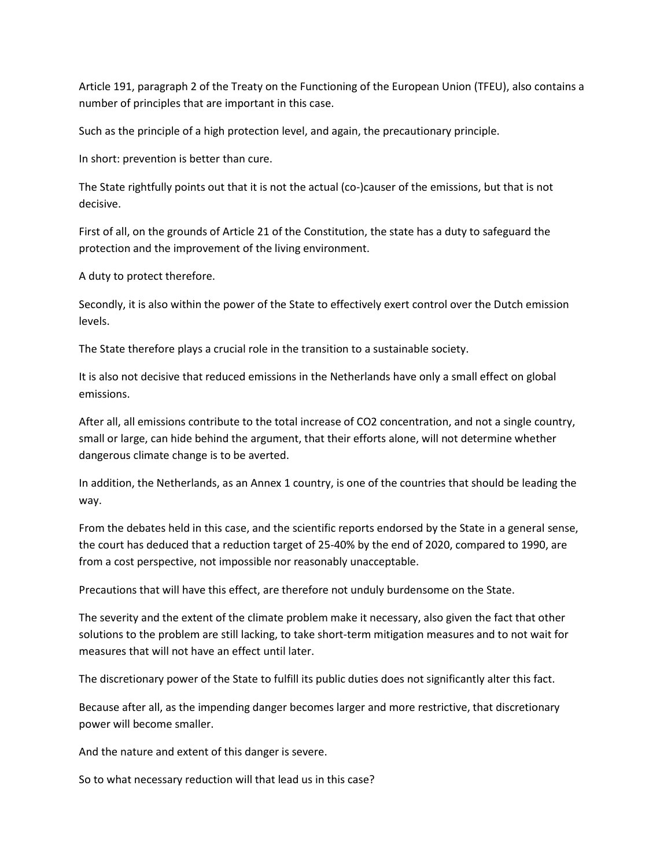Article 191, paragraph 2 of the Treaty on the Functioning of the European Union (TFEU), also contains a number of principles that are important in this case.

Such as the principle of a high protection level, and again, the precautionary principle.

In short: prevention is better than cure.

The State rightfully points out that it is not the actual (co-)causer of the emissions, but that is not decisive.

First of all, on the grounds of Article 21 of the Constitution, the state has a duty to safeguard the protection and the improvement of the living environment.

A duty to protect therefore.

Secondly, it is also within the power of the State to effectively exert control over the Dutch emission levels.

The State therefore plays a crucial role in the transition to a sustainable society.

It is also not decisive that reduced emissions in the Netherlands have only a small effect on global emissions.

After all, all emissions contribute to the total increase of CO2 concentration, and not a single country, small or large, can hide behind the argument, that their efforts alone, will not determine whether dangerous climate change is to be averted.

In addition, the Netherlands, as an Annex 1 country, is one of the countries that should be leading the way.

From the debates held in this case, and the scientific reports endorsed by the State in a general sense, the court has deduced that a reduction target of 25-40% by the end of 2020, compared to 1990, are from a cost perspective, not impossible nor reasonably unacceptable.

Precautions that will have this effect, are therefore not unduly burdensome on the State.

The severity and the extent of the climate problem make it necessary, also given the fact that other solutions to the problem are still lacking, to take short-term mitigation measures and to not wait for measures that will not have an effect until later.

The discretionary power of the State to fulfill its public duties does not significantly alter this fact.

Because after all, as the impending danger becomes larger and more restrictive, that discretionary power will become smaller.

And the nature and extent of this danger is severe.

So to what necessary reduction will that lead us in this case?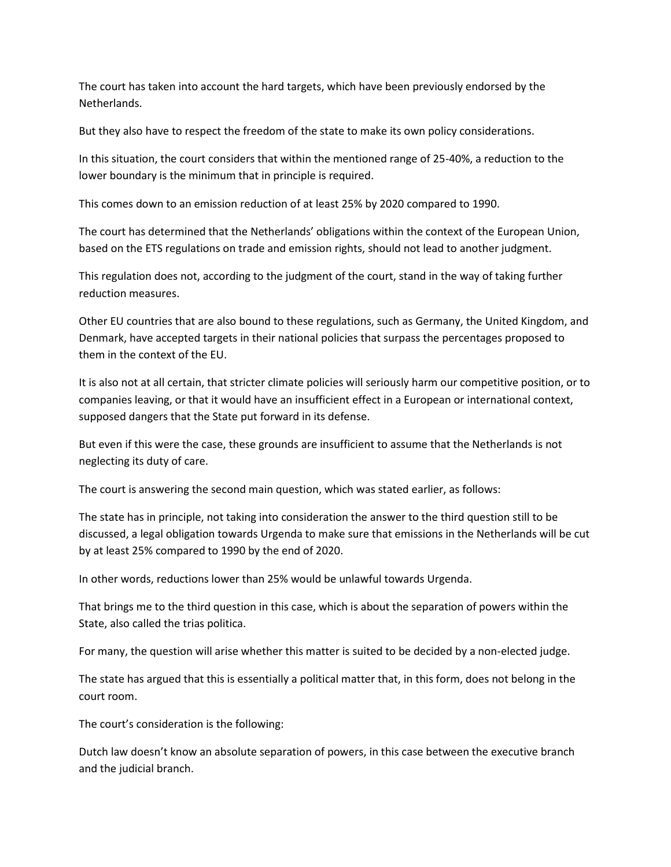The court has taken into account the hard targets, which have been previously endorsed by the Netherlands.

But they also have to respect the freedom of the state to make its own policy considerations.

In this situation, the court considers that within the mentioned range of 25-40%, a reduction to the lower boundary is the minimum that in principle is required.

This comes down to an emission reduction of at least 25% by 2020 compared to 1990.

The court has determined that the Netherlands' obligations within the context of the European Union, based on the ETS regulations on trade and emission rights, should not lead to another judgment.

This regulation does not, according to the judgment of the court, stand in the way of taking further reduction measures.

Other EU countries that are also bound to these regulations, such as Germany, the United Kingdom, and Denmark, have accepted targets in their national policies that surpass the percentages proposed to them in the context of the EU.

It is also not at all certain, that stricter climate policies will seriously harm our competitive position, or to companies leaving, or that it would have an insufficient effect in a European or international context, supposed dangers that the State put forward in its defense.

But even if this were the case, these grounds are insufficient to assume that the Netherlands is not neglecting its duty of care.

The court is answering the second main question, which was stated earlier, as follows:

The state has in principle, not taking into consideration the answer to the third question still to be discussed, a legal obligation towards Urgenda to make sure that emissions in the Netherlands will be cut by at least 25% compared to 1990 by the end of 2020.

In other words, reductions lower than 25% would be unlawful towards Urgenda.

That brings me to the third question in this case, which is about the separation of powers within the State, also called the trias politica.

For many, the question will arise whether this matter is suited to be decided by a non-elected judge.

The state has argued that this is essentially a political matter that, in this form, does not belong in the court room.

The court's consideration is the following:

Dutch law doesn't know an absolute separation of powers, in this case between the executive branch and the judicial branch.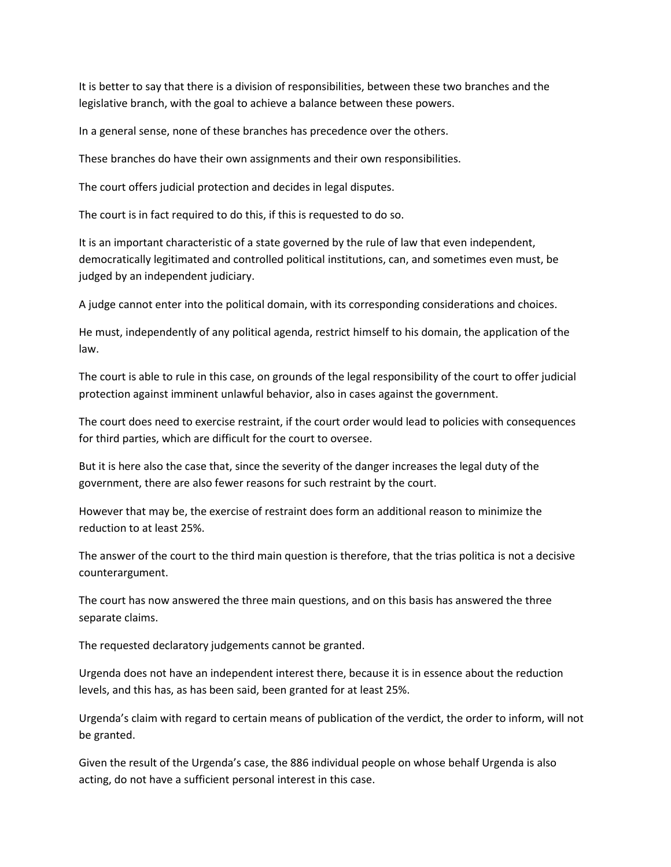It is better to say that there is a division of responsibilities, between these two branches and the legislative branch, with the goal to achieve a balance between these powers.

In a general sense, none of these branches has precedence over the others.

These branches do have their own assignments and their own responsibilities.

The court offers judicial protection and decides in legal disputes.

The court is in fact required to do this, if this is requested to do so.

It is an important characteristic of a state governed by the rule of law that even independent, democratically legitimated and controlled political institutions, can, and sometimes even must, be judged by an independent judiciary.

A judge cannot enter into the political domain, with its corresponding considerations and choices.

He must, independently of any political agenda, restrict himself to his domain, the application of the law.

The court is able to rule in this case, on grounds of the legal responsibility of the court to offer judicial protection against imminent unlawful behavior, also in cases against the government.

The court does need to exercise restraint, if the court order would lead to policies with consequences for third parties, which are difficult for the court to oversee.

But it is here also the case that, since the severity of the danger increases the legal duty of the government, there are also fewer reasons for such restraint by the court.

However that may be, the exercise of restraint does form an additional reason to minimize the reduction to at least 25%.

The answer of the court to the third main question is therefore, that the trias politica is not a decisive counterargument.

The court has now answered the three main questions, and on this basis has answered the three separate claims.

The requested declaratory judgements cannot be granted.

Urgenda does not have an independent interest there, because it is in essence about the reduction levels, and this has, as has been said, been granted for at least 25%.

Urgenda's claim with regard to certain means of publication of the verdict, the order to inform, will not be granted.

Given the result of the Urgenda's case, the 886 individual people on whose behalf Urgenda is also acting, do not have a sufficient personal interest in this case.